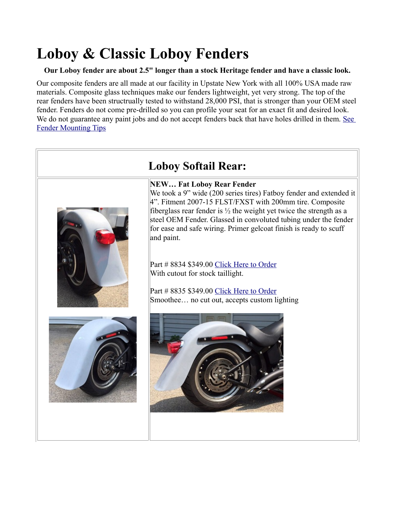# **Loboy & Classic Loboy Fenders**

#### **Our Loboy fender are about 2.5" longer than a stock Heritage fender and have a classic look.**

Our composite fenders are all made at our facility in Upstate New York with all 100% USA made raw materials. Composite glass techniques make our fenders lightweight, yet very strong. The top of the rear fenders have been structrually tested to withstand 28,000 PSI, that is stronger than your OEM steel fender. Fenders do not come pre-drilled so you can profile your seat for an exact fit and desired look. We do not guarantee any paint jobs and do not accept fenders back that have holes drilled in them. See [Fender Mounting Tips](http://sumax.com/Instructions/Fender%20Mounting%20Tips.pdf)

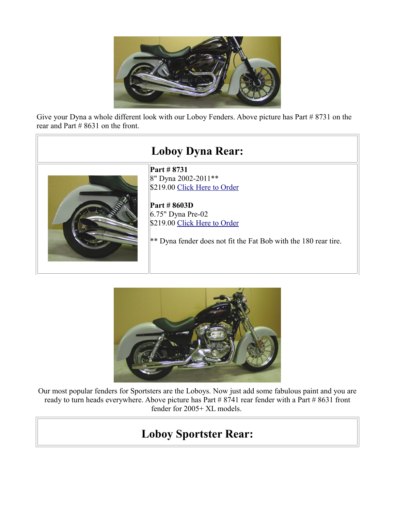

Give your Dyna a whole different look with our Loboy Fenders. Above picture has Part # 8731 on the rear and Part # 8631 on the front.

## **Loboy Dyna Rear: Part # 8731** 8" Dyna 2002-2011\*\* \$219.00 [Click Here to Order](http://sumax.stores.yahoo.net/nelody20mo.html) **Part # 8603D** 6.75" Dyna Pre-02 \$219.00 [Click Here to Order](http://sumax.stores.yahoo.net/700mountwidth2.html) \*\* Dyna fender does not fit the Fat Bob with the 180 rear tire.



Our most popular fenders for Sportsters are the Loboys. Now just add some fabulous paint and you are ready to turn heads everywhere. Above picture has Part # 8741 rear fender with a Part # 8631 front fender for 2005+ XL models.

## **Loboy Sportster Rear:**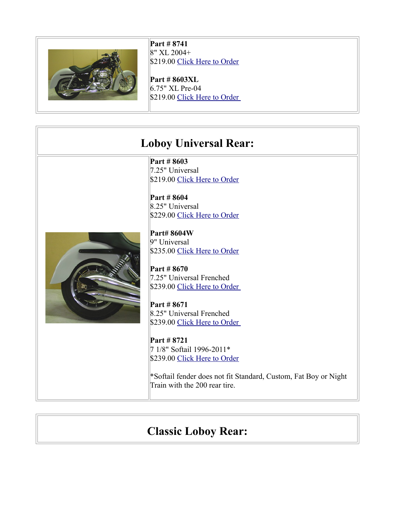

**Part # 8741** 8" XL 2004+ \$219.00 [Click Here to Order](http://sumax.stores.yahoo.net/newloboyxl2004.html)

**Part # 8603XL** 6.75" XL Pre-04 \$219.00 Click Here to Order

#### **Loboy Universal Rear:**

**Part # 8603** 7.25" Universal \$219.00 [Click Here to Order](http://sumax.stores.yahoo.net/725mountwidth7.html)

**Part # 8604** 8.25" Universal \$229.00 [Click Here to Order](http://sumax.stores.yahoo.net/825mountwidth8.html)



**Part# 8604W** 9" Universal \$235.00 [Click Here to Order](http://sumax.stores.yahoo.net/900mountwidth5.html)

**Part # 8670** 7.25" Universal Frenched \$239.00 Click Here to Order

**Part # 8671** 8.25" Universal Frenched \$239.00 Click Here to Order

**Part # 8721** 7 1/8" Softail 1996-2011\* \$239.00 [Click Here to Order](http://sumax.stores.yahoo.net/ne20fxmo.html)

\*Softail fender does not fit Standard, Custom, Fat Boy or Night Train with the 200 rear tire.

### **Classic Loboy Rear:**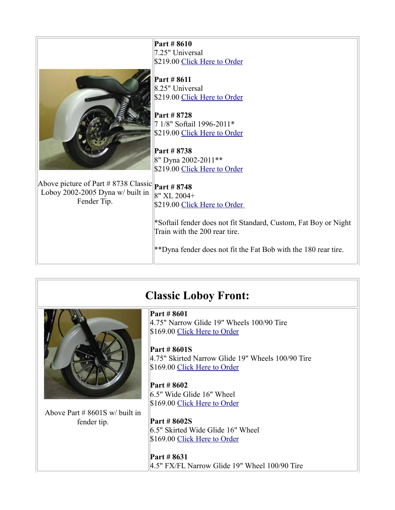|                                      | Part # 8610                                                     |
|--------------------------------------|-----------------------------------------------------------------|
|                                      | 7.25" Universal                                                 |
|                                      | \$219.00 Click Here to Order                                    |
|                                      |                                                                 |
|                                      |                                                                 |
|                                      | Part # 8611                                                     |
|                                      | 8.25" Universal                                                 |
|                                      | \$219.00 Click Here to Order                                    |
|                                      |                                                                 |
|                                      | Part # 8728                                                     |
|                                      | 7 1/8" Softail 1996-2011*                                       |
|                                      | \$219.00 Click Here to Order                                    |
|                                      |                                                                 |
|                                      | Part # 8738                                                     |
|                                      | 8" Dyna 2002-2011**                                             |
|                                      | \$219.00 Click Here to Order                                    |
|                                      |                                                                 |
| Above picture of Part # 8738 Classic | Part #8748                                                      |
| Loboy 2002-2005 Dyna w/ built in     | 8" XL 2004+                                                     |
| Fender Tip.                          | \$219.00 Click Here to Order                                    |
|                                      |                                                                 |
|                                      | *Softail fender does not fit Standard, Custom, Fat Boy or Night |
|                                      | Train with the 200 rear tire.                                   |
|                                      |                                                                 |
|                                      |                                                                 |
|                                      | **Dyna fender does not fit the Fat Bob with the 180 rear tire.  |
|                                      |                                                                 |

### **Classic Loboy Front:**



Above Part # 8601S w/ built in fender tip.

**Part # 8601** 4.75" Narrow Glide 19" Wheels 100/90 Tire \$169.00 [Click Here to Order](http://sumax.stores.yahoo.net/lonagl181921.html)

**Part # 8601S** 4.75" Skirted Narrow Glide 19" Wheels 100/90 Tire \$169.00 [Click Here to Order](http://sumax.stores.yahoo.net/loclwiglwiti1.html)

**Part # 8602** 6.5" Wide Glide 16" Wheel \$169.00 [Click Here to Order](http://sumax.stores.yahoo.net/noname.html)

**Part # 8602S** 6.5" Skirted Wide Glide 16" Wheel \$169.00 [Click Here to Order](http://sumax.stores.yahoo.net/loclwiglwiti.html)

**Part # 8631** 4.5" FX/FL Narrow Glide 19" Wheel 100/90 Tire